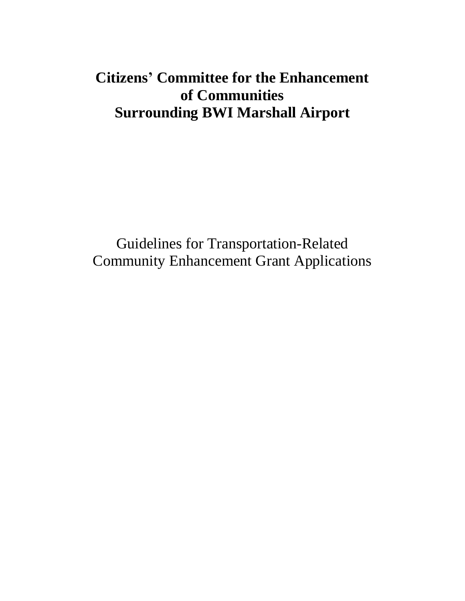# **Citizens' Committee for the Enhancement of Communities Surrounding BWI Marshall Airport**

Guidelines for Transportation-Related Community Enhancement Grant Applications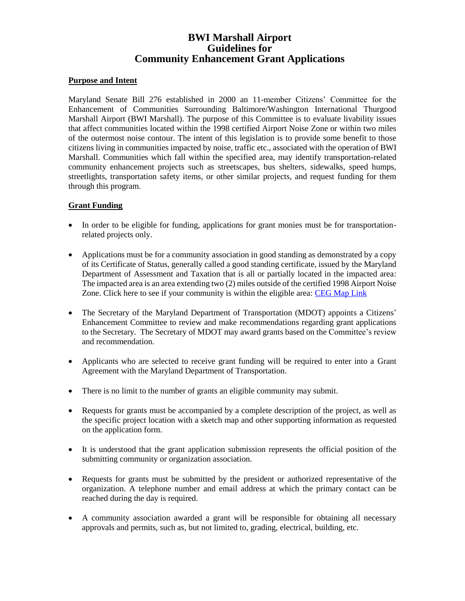# **BWI Marshall Airport Guidelines for Community Enhancement Grant Applications**

#### **Purpose and Intent**

Maryland Senate Bill 276 established in 2000 an 11-member Citizens' Committee for the Enhancement of Communities Surrounding Baltimore/Washington International Thurgood Marshall Airport (BWI Marshall). The purpose of this Committee is to evaluate livability issues that affect communities located within the 1998 certified Airport Noise Zone or within two miles of the outermost noise contour. The intent of this legislation is to provide some benefit to those citizens living in communities impacted by noise, traffic etc., associated with the operation of BWI Marshall. Communities which fall within the specified area, may identify transportation-related community enhancement projects such as streetscapes, bus shelters, sidewalks, speed humps, streetlights, transportation safety items, or other similar projects, and request funding for them through this program.

## **Grant Funding**

- In order to be eligible for funding, applications for grant monies must be for transportationrelated projects only.
- Applications must be for a community association in good standing as demonstrated by a copy of its Certificate of Status, generally called a good standing certificate, issued by the Maryland Department of Assessment and Taxation that is all or partially located in the impacted area: The impacted area is an area extending two (2) miles outside of the certified 1998 Airport Noise Zone. Click here to see if your community is within the eligible area: CEG [Map Link](https://maryland.maps.arcgis.com/apps/webappviewer/index.html?id=1e1dc23b145148559b238de22c226881)
- The Secretary of the Maryland Department of Transportation (MDOT) appoints a Citizens' Enhancement Committee to review and make recommendations regarding grant applications to the Secretary. The Secretary of MDOT may award grants based on the Committee's review and recommendation.
- Applicants who are selected to receive grant funding will be required to enter into a Grant Agreement with the Maryland Department of Transportation.
- There is no limit to the number of grants an eligible community may submit.
- Requests for grants must be accompanied by a complete description of the project, as well as the specific project location with a sketch map and other supporting information as requested on the application form.
- It is understood that the grant application submission represents the official position of the submitting community or organization association.
- Requests for grants must be submitted by the president or authorized representative of the organization. A telephone number and email address at which the primary contact can be reached during the day is required.
- A community association awarded a grant will be responsible for obtaining all necessary approvals and permits, such as, but not limited to, grading, electrical, building, etc.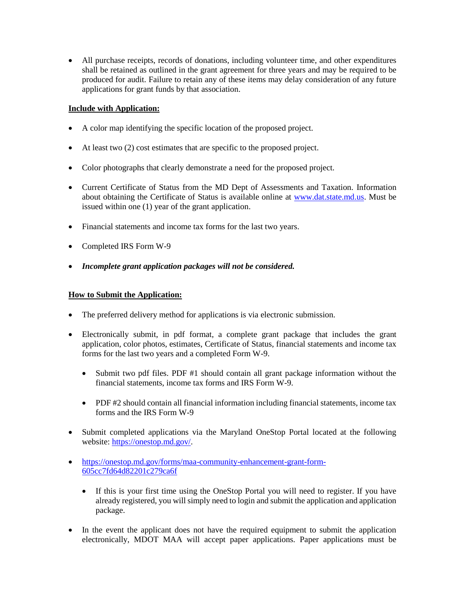• All purchase receipts, records of donations, including volunteer time, and other expenditures shall be retained as outlined in the grant agreement for three years and may be required to be produced for audit. Failure to retain any of these items may delay consideration of any future applications for grant funds by that association.

# **Include with Application:**

- A color map identifying the specific location of the proposed project.
- At least two (2) cost estimates that are specific to the proposed project.
- Color photographs that clearly demonstrate a need for the proposed project.
- Current Certificate of Status from the MD Dept of Assessments and Taxation. Information about obtaining the Certificate of Status is available online at [www.dat.state.md.us.](http://www.dat.state.md.us/) Must be issued within one (1) year of the grant application.
- Financial statements and income tax forms for the last two years.
- Completed IRS Form W-9
- *Incomplete grant application packages will not be considered.*

## **How to Submit the Application:**

- The preferred delivery method for applications is via electronic submission.
- Electronically submit, in pdf format, a complete grant package that includes the grant application, color photos, estimates, Certificate of Status, financial statements and income tax forms for the last two years and a completed Form W-9.
	- Submit two pdf files. PDF #1 should contain all grant package information without the financial statements, income tax forms and IRS Form W-9.
	- PDF #2 should contain all financial information including financial statements, income tax forms and the IRS Form W-9
- Submit completed applications via the Maryland OneStop Portal located at the following website: [https://onestop.md.gov/.](https://onestop.md.gov/)
- [https://onestop.md.gov/forms/maa-community-enhancement-grant-form-](https://onestop.md.gov/forms/maa-community-enhancement-grant-form-605cc7fd64d82201c279ca6f)[605cc7fd64d82201c279ca6f](https://onestop.md.gov/forms/maa-community-enhancement-grant-form-605cc7fd64d82201c279ca6f)
	- If this is your first time using the OneStop Portal you will need to register. If you have already registered, you will simply need to login and submit the application and application package.
- In the event the applicant does not have the required equipment to submit the application electronically, MDOT MAA will accept paper applications. Paper applications must be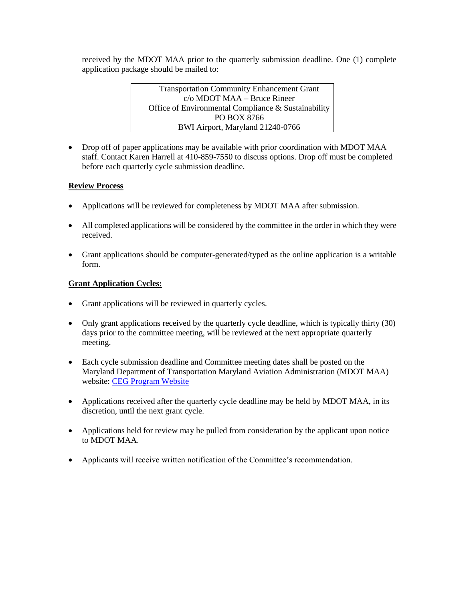received by the MDOT MAA prior to the quarterly submission deadline. One (1) complete application package should be mailed to:

> Transportation Community Enhancement Grant c/o MDOT MAA – Bruce Rineer Office of Environmental Compliance & Sustainability PO BOX 8766 BWI Airport, Maryland 21240-0766

• Drop off of paper applications may be available with prior coordination with MDOT MAA staff. Contact Karen Harrell at 410-859-7550 to discuss options. Drop off must be completed before each quarterly cycle submission deadline.

# **Review Process**

- Applications will be reviewed for completeness by MDOT MAA after submission.
- All completed applications will be considered by the committee in the order in which they were received.
- Grant applications should be computer-generated/typed as the online application is a writable form.

## **Grant Application Cycles:**

- Grant applications will be reviewed in quarterly cycles.
- Only grant applications received by the quarterly cycle deadline, which is typically thirty (30) days prior to the committee meeting, will be reviewed at the next appropriate quarterly meeting.
- Each cycle submission deadline and Committee meeting dates shall be posted on the Maryland Department of Transportation Maryland Aviation Administration (MDOT MAA) website: [CEG Program Website](https://marylandaviation.com/environmental/environmental-compliance-sustainability/transportation-community-enhancement-grants-program/)
- Applications received after the quarterly cycle deadline may be held by MDOT MAA, in its discretion, until the next grant cycle.
- Applications held for review may be pulled from consideration by the applicant upon notice to MDOT MAA.
- Applicants will receive written notification of the Committee's recommendation.